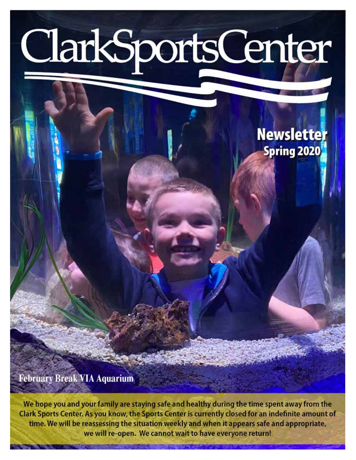# ClarkSportsCenter

## **Newsletter Spring 2020**

**February Break VIA Aquarium** 

We hope you and your family are staying safe and healthy during the time spent away from the Clark Sports Center. As you know, the Sports Center is currently closed for an indefinite amount of time. We will be reassessing the situation weekly and when it appears safe and appropriate, we will re-open. We cannot wait to have everyone return!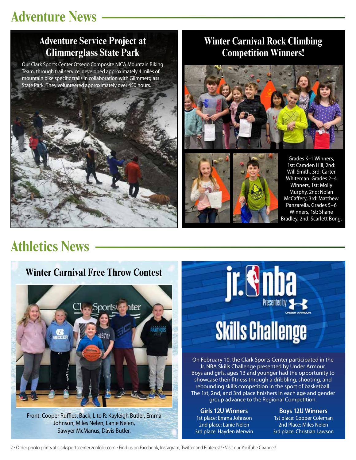## **Adventure News**

#### **Adventure Service Project at Glimmerglass State Park**

Our Clark Sports Center Otsego Composite NICA Mountain Biking Team, through trail service, developed approximately 4 miles of mountain bike specific trails in collaboration with Glimmerglass State Park. They volunteered approximately over 450 hours.



#### **Winter Carnival Rock Climbing Competition Winners!**





Grades K–1 Winners, 1st: Camden Hill, 2nd: Will Smith, 3rd: Carter Whiteman. Grades 2–4 Winners, 1st: Molly Murphy, 2nd: Nolan McCaffery, 3rd: Matthew Panzarella. Grades 5–6 Winners, 1st: Shane Bradley, 2nd: Scarlett Bong.

## **Athletics News**

#### **Winter Carnival Free Throw Contest**



Front: Cooper Ruffles. Back, L to R: Kayleigh Butler, Emma Johnson, Miles Nelen, Lanie Nelen, Sawyer McManus, Davis Butler.



On February 10, the Clark Sports Center participated in the Jr. NBA Skills Challenge presented by Under Armour. Boys and girls, ages 13 and younger had the opportunity to showcase their fitness through a dribbling, shooting, and rebounding skills competition in the sport of basketball. The 1st, 2nd, and 3rd place finishers in each age and gender group advance to the Regional Competition.

**Girls 12U Winners** 1st place: Emma Johnson 2nd place: Lanie Nelen 3rd place: Hayden Merwin

**Boys 12U Winners** 1st place: Cooper Coleman 2nd Place: Miles Nelen 3rd place: Christian Lawson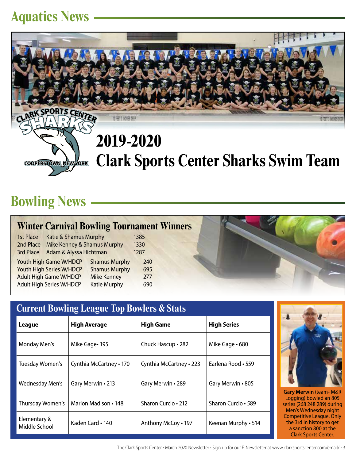#### **Aquatics News**



## **Bowling News**

#### **Winter Carnival Bowling Tournament Winners**

| 1st Place | Katie & Shamus Murphy           |                      | 1385 |
|-----------|---------------------------------|----------------------|------|
| 2nd Place | Mike Kenney & Shamus Murphy     |                      | 1330 |
| 3rd Place | Adam & Alyssa Hichtman          |                      | 1287 |
|           | <b>Youth High Game W/HDCP</b>   | <b>Shamus Murphy</b> | 240  |
|           | Youth High Series W/HDCP        | <b>Shamus Murphy</b> | 695  |
|           | <b>Adult High Game W/HDCP</b>   | <b>Mike Kenney</b>   | 277  |
|           | <b>Adult High Series W/HDCP</b> | <b>Katie Murphy</b>  | 690  |

| <b>Current Bowling League Top Bowlers &amp; Stats</b> |                         |                         |                     |  |
|-------------------------------------------------------|-------------------------|-------------------------|---------------------|--|
| League                                                | <b>High Average</b>     | <b>High Game</b>        | <b>High Series</b>  |  |
| Monday Men's                                          | Mike Gage · 195         | Chuck Hascup • 282      | Mike Gage • 680     |  |
| Tuesday Women's                                       | Cynthia McCartney • 170 | Cynthia McCartney • 223 | Earlena Rood • 559  |  |
| Wednesday Men's                                       | Gary Merwin . 213       | Gary Merwin . 289       | Gary Merwin • 805   |  |
| Thursday Women's                                      | Marion Madison • 148    | Sharon Curcio • 212     | Sharon Curcio • 589 |  |
| Elementary &<br>Middle School                         | Kaden Card • 140        | Anthony McCoy • 197     | Keenan Murphy . 514 |  |



**Gary Merwin** (team- M&R Logging) bowled an 805 series (268 248 289) during Men's Wednesday night Competitive League. Only the 3rd in history to get a sanction 800 at the Clark Sports Center.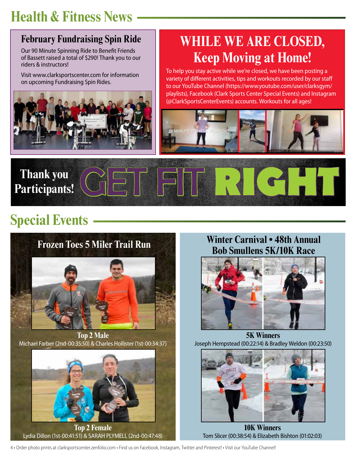## **Health & Fitness News**

#### **February Fundraising Spin Ride**

Our 90 Minute Spinning Ride to Benefit Friends of Bassett raised a total of \$290! Thank you to our riders & instructors!

Visit www.clarksportscenter.com for information on upcoming Fundraising Spin Rides.



## **WHILE WE ARE CLOSED, Keep Moving at Home!**

To help you stay active while we're closed, we have been posting a variety of different activities, tips and workouts recorded by our staff to our YouTube Channel (https://www.youtube.com/user/clarksgym/ playlists), Facebook (Clark Sports Center Special Events) and Instagram (@ClarkSportsCenterEvents) accounts. Workouts for all ages!





## **Special Events**



**Top 2 Male** Michael Farber (2nd-00:35:50) & Charles Hollister (1st-00:34:37)



**Top 2 Female** Lydia Dillon (1st-00:41:51) & SARAH PLYMELL (2nd-00:47:48)

## **Winter Carnival • 48th Annual**



**5K Winners** Joseph Hempstead (00:22:14) & Bradley Weldon (00:23:50)



**10K Winners** Tom Slicer (00:38:54) & Elizabeth Bishton (01:02:03)

4 • Order photo prints at clarksportscenter.zenfolio.com • Find us on Facebook, Instagram, Twitter and Pinterest! • Visit our YouTube Channel!